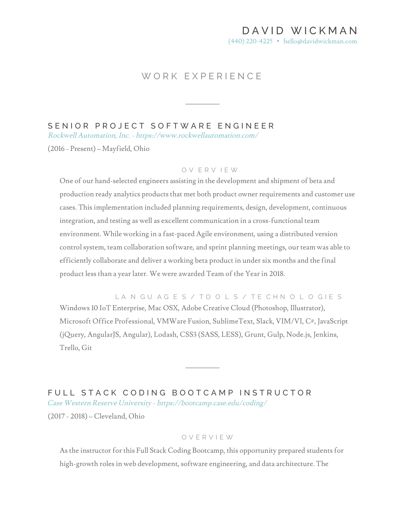# DAVID WICKMA N

(440) 220-4225 • hello@davidwickman.com

## WORK EXPERIENCE

## SENIOR PROJECT SOFTWARE ENGINEER

Rockwell Automation, Inc. - https://www.rockwellautomation.com/

(2016 - Present) – Mayfield, Ohio

#### O V ERV IEW

One of our hand-selected engineers assisting in the development and shipment of beta and production ready analytics products that met both product owner requirements and customer use cases. This implementation included planning requirements, design, development, continuous integration, and testing as well as excellent communication in a cross-functional team environment. While working in a fast-paced Agile environment, using a distributed version control system, team collaboration software, and sprint planning meetings, our team was able to efficiently collaborate and deliver a working beta product in under six months and the final product less than a year later. We were awarded Team of the Year in 2018.

LANGUAGES / TO OLS / TE CHNOLOGIES Windows 10 IoT Enterprise, Mac OSX, Adobe Creative Cloud (Photoshop, Illustrator), Microsoft Office Professional, VMWare Fusion, SublimeText, Slack, VIM/VI, C#, JavaScript (jQuery, AngularJS, Angular), Lodash, CSS3 (SASS, LESS), Grunt, Gulp, Node.js, Jenkins, Trello, Git

FULL STACK CODING BOOTCAMP INSTRUCTOR Case Western Reserve University - https://bootcamp.case.edu/coding/ (2017 - 2018) – Cleveland, Ohio

### OVERVIEW

As the instructor for this Full Stack Coding Bootcamp, this opportunity prepared students for high-growth roles in web development, software engineering, and data architecture. The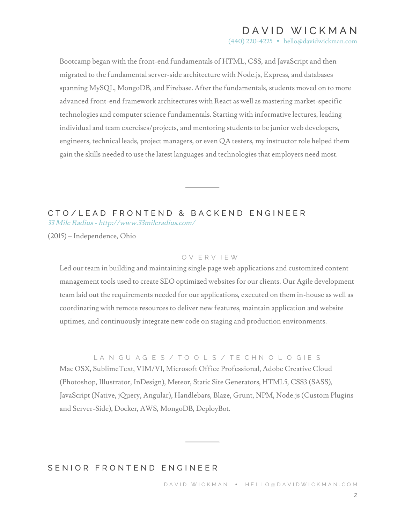# DAVID WICKMA N

(440) 220-4225 • hello@davidwickman.com

Bootcamp began with the front-end fundamentals of HTML, CSS, and JavaScript and then migrated to the fundamental server-side architecture with Node.js, Express, and databases spanning MySQL, MongoDB, and Firebase. After the fundamentals, students moved on to more advanced front-end framework architectures with React as well as mastering market-specific technologies and computer science fundamentals. Starting with informative lectures, leading individual and team exercises/projects, and mentoring students to be junior web developers, engineers, technical leads, project managers, or even QA testers, my instructor role helped them gain the skills needed to use the latest languages and technologies that employers need most.

### CTO/LEAD FRONTEND & BACKEND ENGINEER 33 Mile Radius - http://www.33mileradius.com/

(2015) – Independence, Ohio

#### O V ERV IEW

Led our team in building and maintaining single page web applications and customized content management tools used to create SEO optimized websites for our clients. Our Agile development team laid out the requirements needed for our applications, executed on them in-house as well as coordinating with remote resources to deliver new features, maintain application and website uptimes, and continuously integrate new code on staging and production environments.

#### LANGUAGES / TOOLS / TECHNOLOGIES

Mac OSX, SublimeText, VIM/VI, Microsoft Office Professional, Adobe Creative Cloud (Photoshop, Illustrator, InDesign), Meteor, Static Site Generators, HTML5, CSS3 (SASS), JavaScript (Native, jQuery, Angular), Handlebars, Blaze, Grunt, NPM, Node.js (Custom Plugins and Server-Side), Docker, AWS, MongoDB, DeployBot.

## SENIOR FRONTEND ENGINEER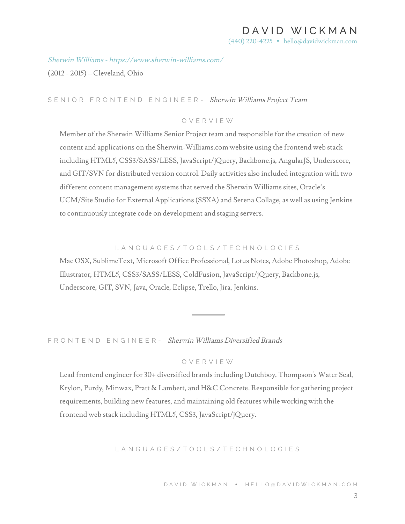# DAVID WICKMA N

(440) 220-4225 • hello@davidwickman.com

Sherwin Williams - https://www.sherwin-williams.com/

(2012 - 2015) – Cleveland, Ohio

## SENIOR FRONTEND ENGINEER - Sherwin Williams Project Team

### OVERVIEW

Member of the Sherwin Williams Senior Project team and responsible for the creation of new content and applications on the Sherwin-Williams.com website using the frontend web stack including HTML5, CSS3/SASS/LESS, JavaScript/jQuery, Backbone.js, AngularJS, Underscore, and GIT/SVN for distributed version control. Daily activities also included integration with two different content management systems that served the Sherwin Williams sites, Oracle's UCM/Site Studio for External Applications (SSXA) and Serena Collage, as well as using Jenkins to continuously integrate code on development and staging servers.

### LANGUAGES/TOOLS/TECH NOLOGIES

Mac OSX, SublimeText, Microsoft Office Professional, Lotus Notes, Adobe Photoshop, Adobe Illustrator, HTML5, CSS3/SASS/LESS, ColdFusion, JavaScript/jQuery, Backbone.js, Underscore, GIT, SVN, Java, Oracle, Eclipse, Trello, Jira, Jenkins.

FRONTEND ENGINEER - Sherwin Williams Diversified Brands

### OVERVIEW

Lead frontend engineer for 30+ diversified brands including Dutchboy, Thompson's Water Seal, Krylon, Purdy, Minwax, Pratt & Lambert, and H&C Concrete. Responsible for gathering project requirements, building new features, and maintaining old features while working with the frontend web stack including HTML5, CSS3, JavaScript/jQuery.

### LANGUAGES/TOOLS/TECHNO LOGIES